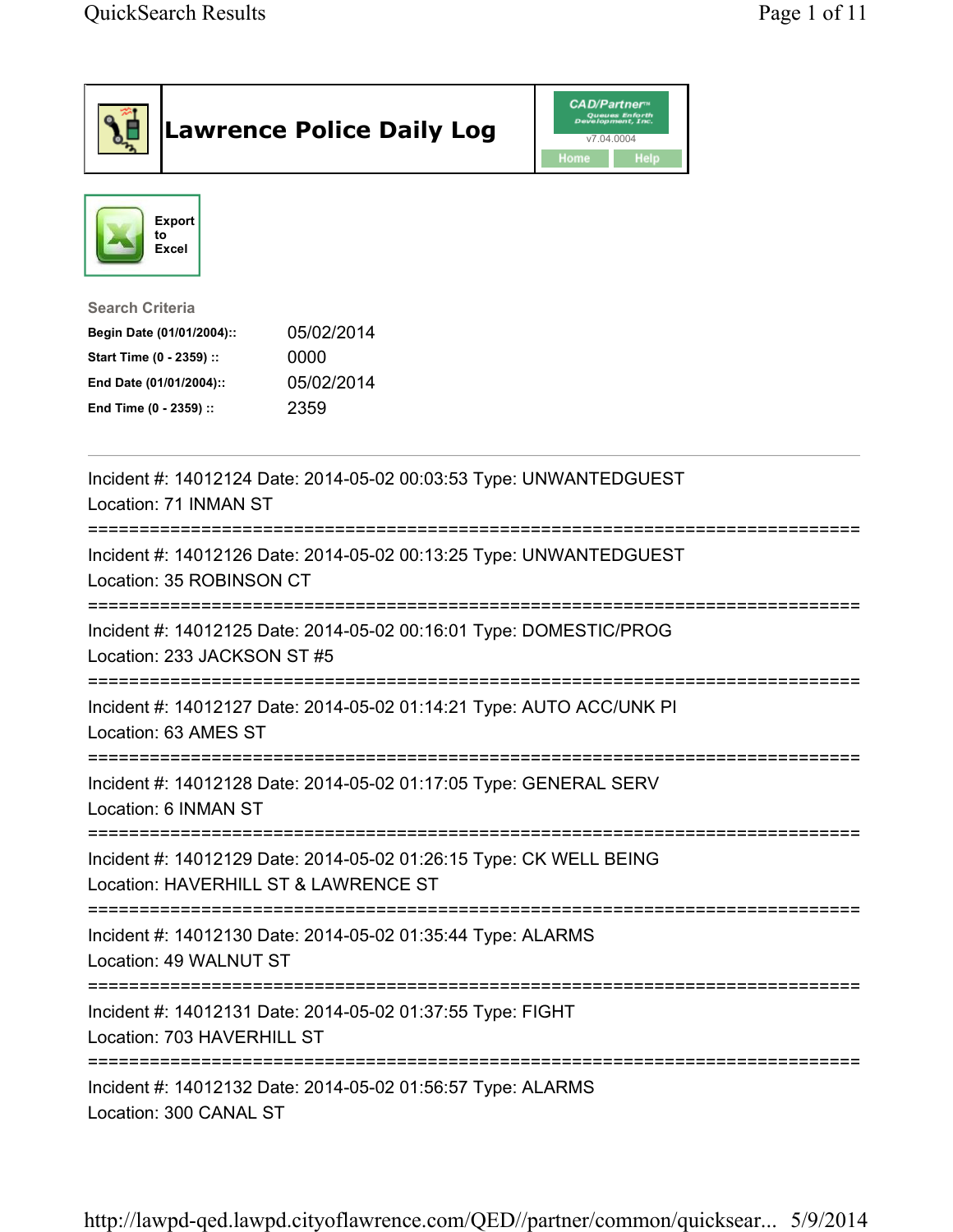| <b>Lawrence Police Daily Log</b>                                                                                                                                                 | <b>CAD/Partner</b> ®<br>v7.04.0004<br>Home<br><b>Help</b> |
|----------------------------------------------------------------------------------------------------------------------------------------------------------------------------------|-----------------------------------------------------------|
| <b>Export</b><br>to<br>Excel                                                                                                                                                     |                                                           |
| <b>Search Criteria</b><br>05/02/2014<br>Begin Date (01/01/2004)::<br>Start Time (0 - 2359) ::<br>0000<br>05/02/2014<br>End Date (01/01/2004)::<br>2359<br>End Time (0 - 2359) :: |                                                           |
| Incident #: 14012124 Date: 2014-05-02 00:03:53 Type: UNWANTEDGUEST<br>Location: 71 INMAN ST                                                                                      |                                                           |
| Incident #: 14012126 Date: 2014-05-02 00:13:25 Type: UNWANTEDGUEST<br>Location: 35 ROBINSON CT                                                                                   |                                                           |
| Incident #: 14012125 Date: 2014-05-02 00:16:01 Type: DOMESTIC/PROG<br>Location: 233 JACKSON ST #5                                                                                |                                                           |
| Incident #: 14012127 Date: 2014-05-02 01:14:21 Type: AUTO ACC/UNK PI<br>Location: 63 AMES ST                                                                                     |                                                           |
| Incident #: 14012128 Date: 2014-05-02 01:17:05 Type: GENERAL SERV<br>Location: 6 INMAN ST                                                                                        |                                                           |
| Incident #: 14012129 Date: 2014-05-02 01:26:15 Type: CK WELL BEING<br>Location: HAVERHILL ST & LAWRENCE ST                                                                       |                                                           |
| Incident #: 14012130 Date: 2014-05-02 01:35:44 Type: ALARMS<br>Location: 49 WALNUT ST                                                                                            |                                                           |
| Incident #: 14012131 Date: 2014-05-02 01:37:55 Type: FIGHT<br>Location: 703 HAVERHILL ST                                                                                         |                                                           |
| Incident #: 14012132 Date: 2014-05-02 01:56:57 Type: ALARMS<br>Location: 300 CANAL ST                                                                                            |                                                           |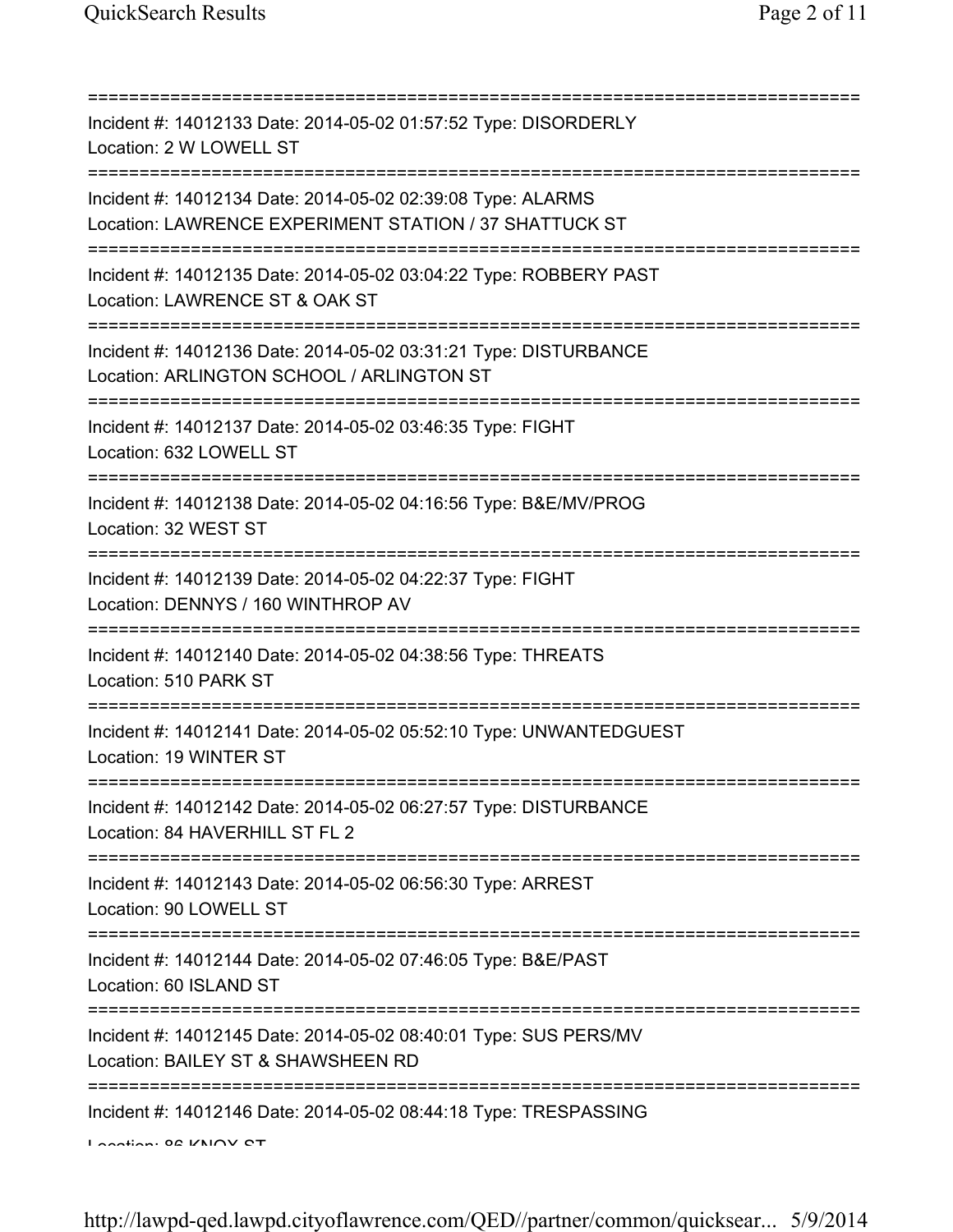| =========================                                                                                                                     |
|-----------------------------------------------------------------------------------------------------------------------------------------------|
| Incident #: 14012133 Date: 2014-05-02 01:57:52 Type: DISORDERLY<br>Location: 2 W LOWELL ST                                                    |
| Incident #: 14012134 Date: 2014-05-02 02:39:08 Type: ALARMS<br>Location: LAWRENCE EXPERIMENT STATION / 37 SHATTUCK ST                         |
| Incident #: 14012135 Date: 2014-05-02 03:04:22 Type: ROBBERY PAST<br>Location: LAWRENCE ST & OAK ST                                           |
| Incident #: 14012136 Date: 2014-05-02 03:31:21 Type: DISTURBANCE<br>Location: ARLINGTON SCHOOL / ARLINGTON ST<br>============================ |
| Incident #: 14012137 Date: 2014-05-02 03:46:35 Type: FIGHT<br>Location: 632 LOWELL ST<br>:=================                                   |
| Incident #: 14012138 Date: 2014-05-02 04:16:56 Type: B&E/MV/PROG<br>Location: 32 WEST ST<br>;===============================                  |
| Incident #: 14012139 Date: 2014-05-02 04:22:37 Type: FIGHT<br>Location: DENNYS / 160 WINTHROP AV                                              |
| Incident #: 14012140 Date: 2014-05-02 04:38:56 Type: THREATS<br>Location: 510 PARK ST                                                         |
| Incident #: 14012141 Date: 2014-05-02 05:52:10 Type: UNWANTEDGUEST<br>Location: 19 WINTER ST                                                  |
| Incident #: 14012142 Date: 2014-05-02 06:27:57 Type: DISTURBANCE<br>Location: 84 HAVERHILL ST FL 2                                            |
| Incident #: 14012143 Date: 2014-05-02 06:56:30 Type: ARREST<br>Location: 90 LOWELL ST                                                         |
| Incident #: 14012144 Date: 2014-05-02 07:46:05 Type: B&E/PAST<br>Location: 60 ISLAND ST                                                       |
| Incident #: 14012145 Date: 2014-05-02 08:40:01 Type: SUS PERS/MV<br>Location: BAILEY ST & SHAWSHEEN RD                                        |
| ====================================<br>Incident #: 14012146 Date: 2014-05-02 08:44:18 Type: TRESPASSING<br>Longian: 00 VNOV CT               |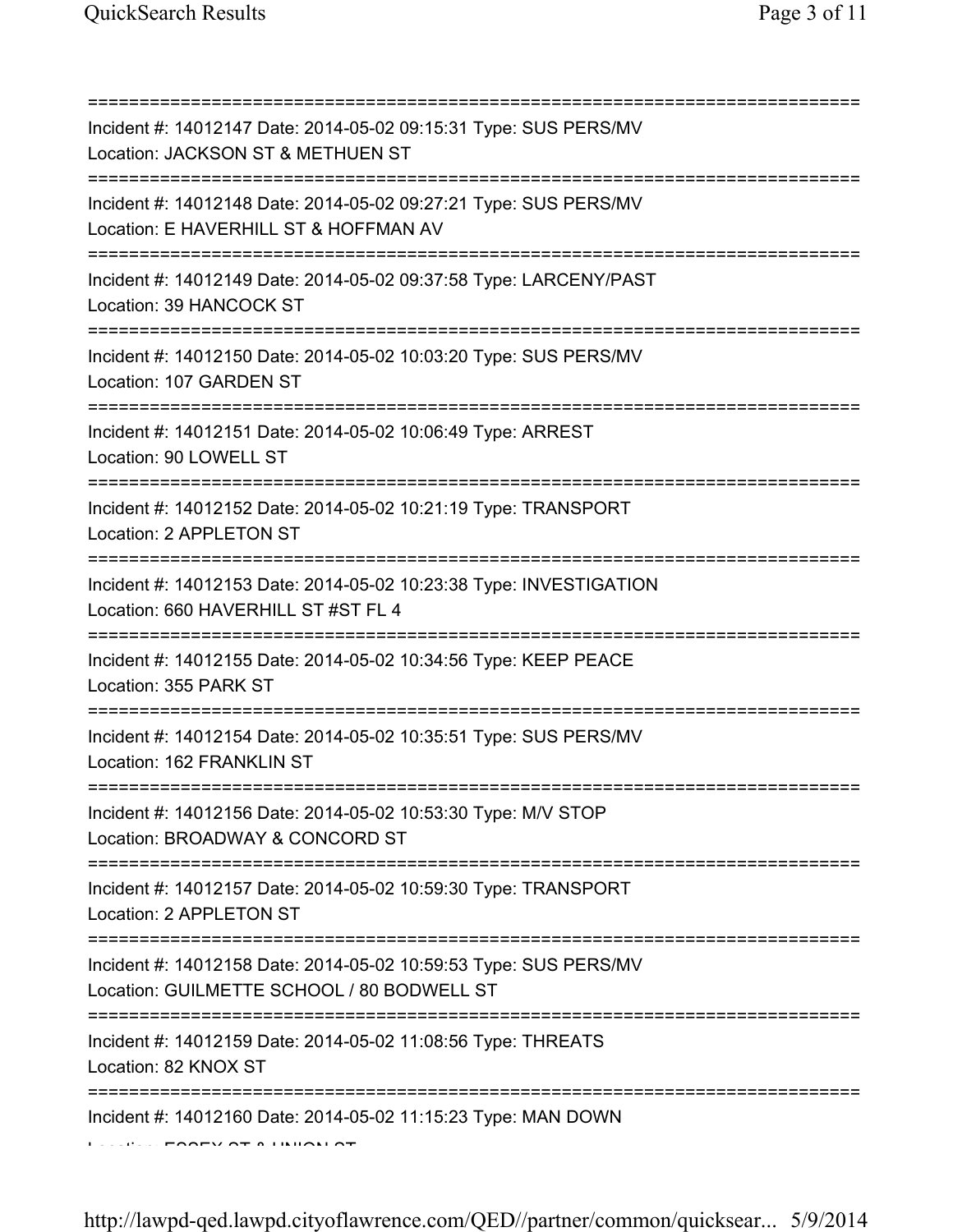| Incident #: 14012147 Date: 2014-05-02 09:15:31 Type: SUS PERS/MV<br>Location: JACKSON ST & METHUEN ST<br>=============================                |
|-------------------------------------------------------------------------------------------------------------------------------------------------------|
| Incident #: 14012148 Date: 2014-05-02 09:27:21 Type: SUS PERS/MV<br>Location: E HAVERHILL ST & HOFFMAN AV<br>=========================                |
| Incident #: 14012149 Date: 2014-05-02 09:37:58 Type: LARCENY/PAST<br>Location: 39 HANCOCK ST<br>=====================================                 |
| Incident #: 14012150 Date: 2014-05-02 10:03:20 Type: SUS PERS/MV<br>Location: 107 GARDEN ST<br>=====================                                  |
| Incident #: 14012151 Date: 2014-05-02 10:06:49 Type: ARREST<br>Location: 90 LOWELL ST                                                                 |
| Incident #: 14012152 Date: 2014-05-02 10:21:19 Type: TRANSPORT<br>Location: 2 APPLETON ST                                                             |
| Incident #: 14012153 Date: 2014-05-02 10:23:38 Type: INVESTIGATION<br>Location: 660 HAVERHILL ST #ST FL 4                                             |
| Incident #: 14012155 Date: 2014-05-02 10:34:56 Type: KEEP PEACE<br>Location: 355 PARK ST                                                              |
| Incident #: 14012154 Date: 2014-05-02 10:35:51 Type: SUS PERS/MV<br>Location: 162 FRANKLIN ST                                                         |
| Incident #: 14012156 Date: 2014-05-02 10:53:30 Type: M/V STOP<br>Location: BROADWAY & CONCORD ST                                                      |
| =====================================<br>Incident #: 14012157 Date: 2014-05-02 10:59:30 Type: TRANSPORT<br>Location: 2 APPLETON ST                    |
| ===================================<br>Incident #: 14012158 Date: 2014-05-02 10:59:53 Type: SUS PERS/MV<br>Location: GUILMETTE SCHOOL / 80 BODWELL ST |
| Incident #: 14012159 Date: 2014-05-02 11:08:56 Type: THREATS<br>Location: 82 KNOX ST                                                                  |
| Incident #: 14012160 Date: 2014-05-02 11:15:23 Type: MAN DOWN                                                                                         |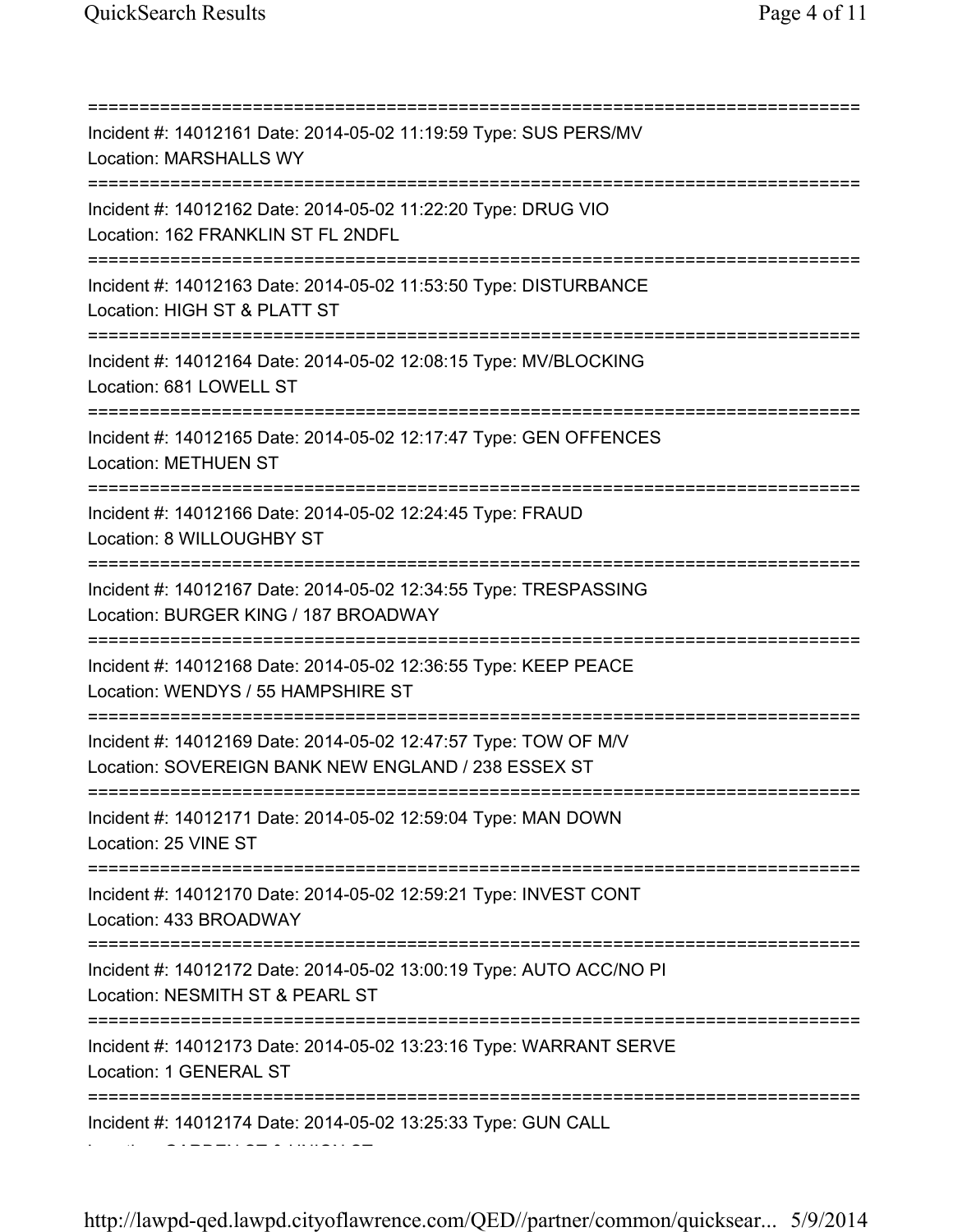=========================================================================== Incident #: 14012161 Date: 2014-05-02 11:19:59 Type: SUS PERS/MV Location: MARSHALLS WY =========================================================================== Incident #: 14012162 Date: 2014-05-02 11:22:20 Type: DRUG VIO Location: 162 FRANKLIN ST FL 2NDFL =========================================================================== Incident #: 14012163 Date: 2014-05-02 11:53:50 Type: DISTURBANCE Location: HIGH ST & PLATT ST =========================================================================== Incident #: 14012164 Date: 2014-05-02 12:08:15 Type: MV/BLOCKING Location: 681 LOWELL ST =========================================================================== Incident #: 14012165 Date: 2014-05-02 12:17:47 Type: GEN OFFENCES Location: METHUEN ST =========================================================================== Incident #: 14012166 Date: 2014-05-02 12:24:45 Type: FRAUD Location: 8 WILLOUGHBY ST =========================================================================== Incident #: 14012167 Date: 2014-05-02 12:34:55 Type: TRESPASSING Location: BURGER KING / 187 BROADWAY =========================================================================== Incident #: 14012168 Date: 2014-05-02 12:36:55 Type: KEEP PEACE Location: WENDYS / 55 HAMPSHIRE ST =========================================================================== Incident #: 14012169 Date: 2014-05-02 12:47:57 Type: TOW OF M/V Location: SOVEREIGN BANK NEW ENGLAND / 238 ESSEX ST =========================================================================== Incident #: 14012171 Date: 2014-05-02 12:59:04 Type: MAN DOWN Location: 25 VINE ST =========================================================================== Incident #: 14012170 Date: 2014-05-02 12:59:21 Type: INVEST CONT Location: 433 BROADWAY =========================================================================== Incident #: 14012172 Date: 2014-05-02 13:00:19 Type: AUTO ACC/NO PI Location: NESMITH ST & PEARL ST =========================================================================== Incident #: 14012173 Date: 2014-05-02 13:23:16 Type: WARRANT SERVE Location: 1 GENERAL ST =========================================================================== Incident #: 14012174 Date: 2014-05-02 13:25:33 Type: GUN CALL Location: GARDEN ST & UNION ST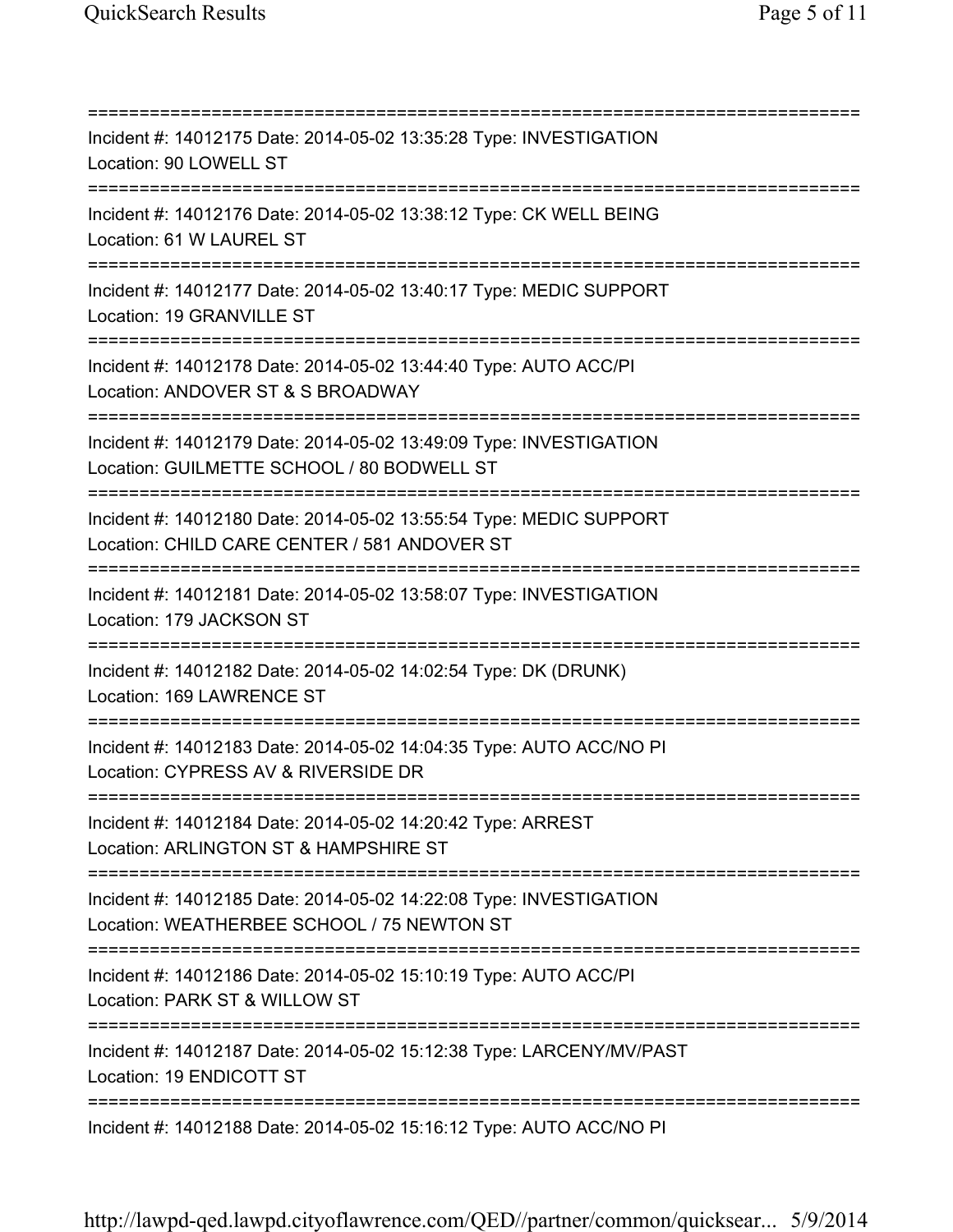=========================================================================== Incident #: 14012175 Date: 2014-05-02 13:35:28 Type: INVESTIGATION Location: 90 LOWELL ST =========================================================================== Incident #: 14012176 Date: 2014-05-02 13:38:12 Type: CK WELL BEING Location: 61 W LAUREL ST =========================================================================== Incident #: 14012177 Date: 2014-05-02 13:40:17 Type: MEDIC SUPPORT Location: 19 GRANVILLE ST =========================================================================== Incident #: 14012178 Date: 2014-05-02 13:44:40 Type: AUTO ACC/PI Location: ANDOVER ST & S BROADWAY =========================================================================== Incident #: 14012179 Date: 2014-05-02 13:49:09 Type: INVESTIGATION Location: GUILMETTE SCHOOL / 80 BODWELL ST =========================================================================== Incident #: 14012180 Date: 2014-05-02 13:55:54 Type: MEDIC SUPPORT Location: CHILD CARE CENTER / 581 ANDOVER ST =========================================================================== Incident #: 14012181 Date: 2014-05-02 13:58:07 Type: INVESTIGATION Location: 179 JACKSON ST =========================================================================== Incident #: 14012182 Date: 2014-05-02 14:02:54 Type: DK (DRUNK) Location: 169 LAWRENCE ST =========================================================================== Incident #: 14012183 Date: 2014-05-02 14:04:35 Type: AUTO ACC/NO PI Location: CYPRESS AV & RIVERSIDE DR =========================================================================== Incident #: 14012184 Date: 2014-05-02 14:20:42 Type: ARREST Location: ARLINGTON ST & HAMPSHIRE ST =========================================================================== Incident #: 14012185 Date: 2014-05-02 14:22:08 Type: INVESTIGATION Location: WEATHERBEE SCHOOL / 75 NEWTON ST =========================================================================== Incident #: 14012186 Date: 2014-05-02 15:10:19 Type: AUTO ACC/PI Location: PARK ST & WILLOW ST =========================================================================== Incident #: 14012187 Date: 2014-05-02 15:12:38 Type: LARCENY/MV/PAST Location: 19 ENDICOTT ST =========================================================================== Incident #: 14012188 Date: 2014-05-02 15:16:12 Type: AUTO ACC/NO PI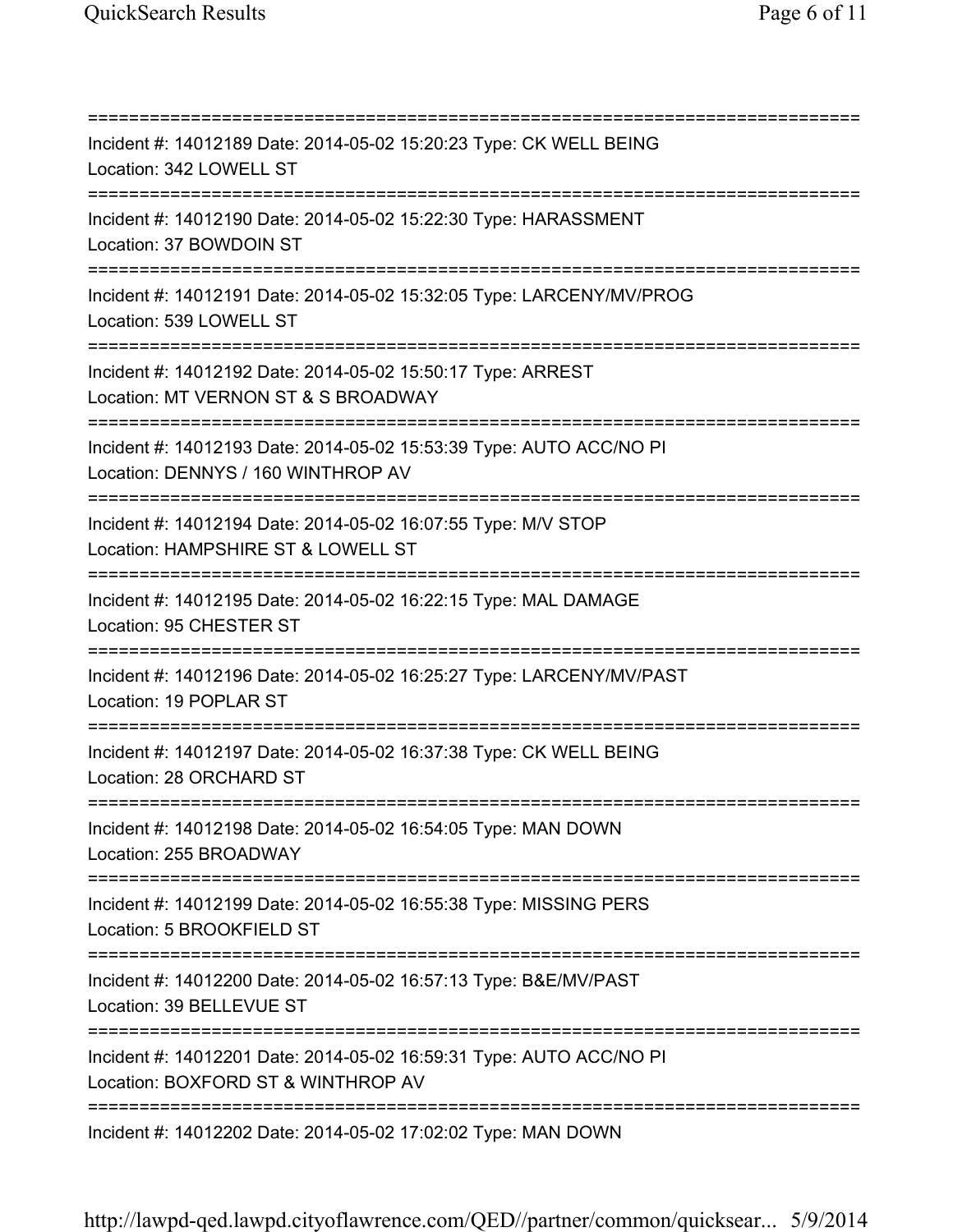=========================================================================== Incident #: 14012189 Date: 2014-05-02 15:20:23 Type: CK WELL BEING Location: 342 LOWELL ST =========================================================================== Incident #: 14012190 Date: 2014-05-02 15:22:30 Type: HARASSMENT Location: 37 BOWDOIN ST =========================================================================== Incident #: 14012191 Date: 2014-05-02 15:32:05 Type: LARCENY/MV/PROG Location: 539 LOWELL ST =========================================================================== Incident #: 14012192 Date: 2014-05-02 15:50:17 Type: ARREST Location: MT VERNON ST & S BROADWAY =========================================================================== Incident #: 14012193 Date: 2014-05-02 15:53:39 Type: AUTO ACC/NO PI Location: DENNYS / 160 WINTHROP AV =========================================================================== Incident #: 14012194 Date: 2014-05-02 16:07:55 Type: M/V STOP Location: HAMPSHIRE ST & LOWELL ST =========================================================================== Incident #: 14012195 Date: 2014-05-02 16:22:15 Type: MAL DAMAGE Location: 95 CHESTER ST =========================================================================== Incident #: 14012196 Date: 2014-05-02 16:25:27 Type: LARCENY/MV/PAST Location: 19 POPLAR ST =========================================================================== Incident #: 14012197 Date: 2014-05-02 16:37:38 Type: CK WELL BEING Location: 28 ORCHARD ST =========================================================================== Incident #: 14012198 Date: 2014-05-02 16:54:05 Type: MAN DOWN Location: 255 BROADWAY =========================================================================== Incident #: 14012199 Date: 2014-05-02 16:55:38 Type: MISSING PERS Location: 5 BROOKFIELD ST =========================================================================== Incident #: 14012200 Date: 2014-05-02 16:57:13 Type: B&E/MV/PAST Location: 39 BELLEVUE ST =========================================================================== Incident #: 14012201 Date: 2014-05-02 16:59:31 Type: AUTO ACC/NO PI Location: BOXFORD ST & WINTHROP AV =========================================================================== Incident #: 14012202 Date: 2014-05-02 17:02:02 Type: MAN DOWN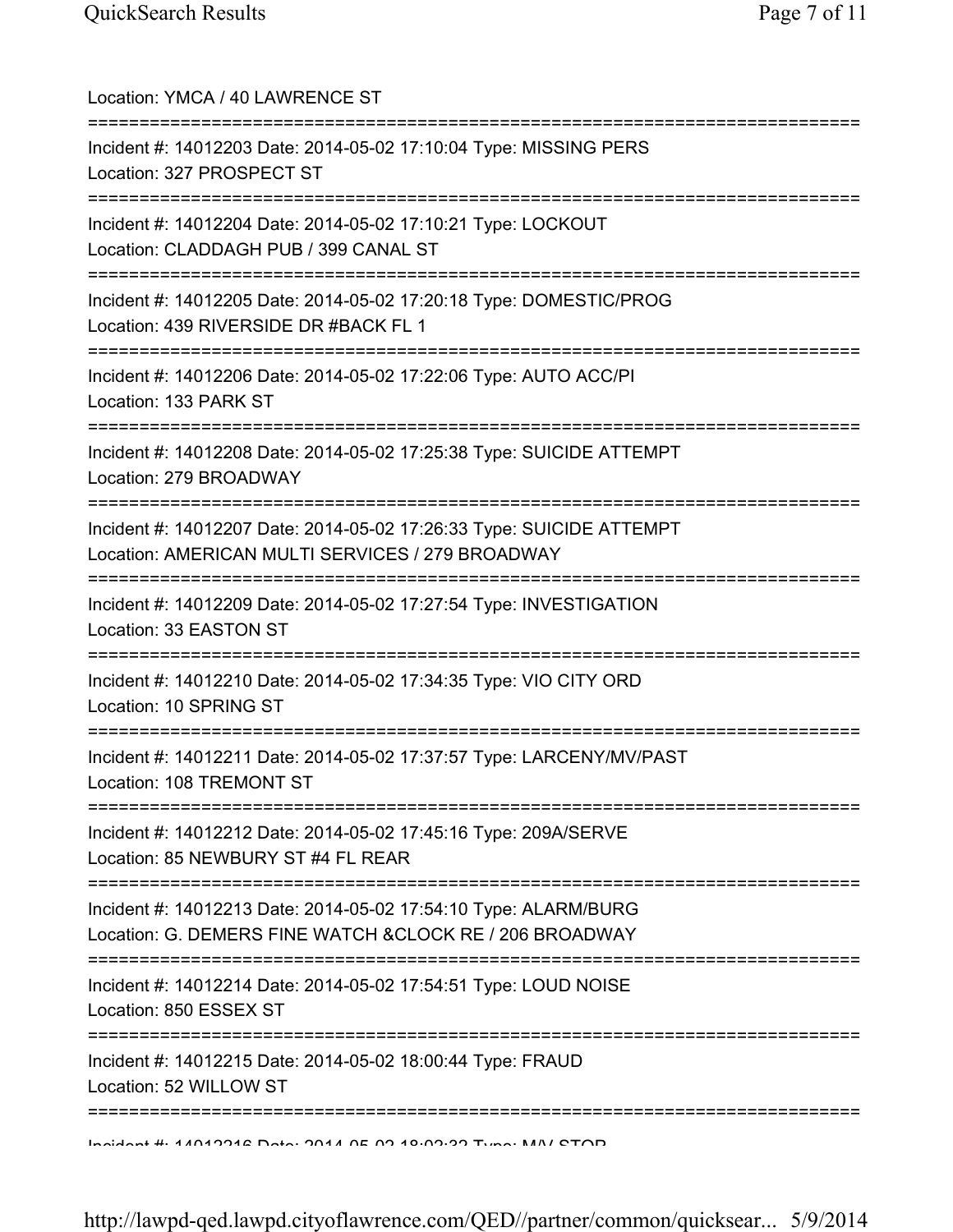| Location: YMCA / 40 LAWRENCE ST                                                                                             |
|-----------------------------------------------------------------------------------------------------------------------------|
| Incident #: 14012203 Date: 2014-05-02 17:10:04 Type: MISSING PERS<br>Location: 327 PROSPECT ST<br>-----------               |
| Incident #: 14012204 Date: 2014-05-02 17:10:21 Type: LOCKOUT<br>Location: CLADDAGH PUB / 399 CANAL ST                       |
| Incident #: 14012205 Date: 2014-05-02 17:20:18 Type: DOMESTIC/PROG<br>Location: 439 RIVERSIDE DR #BACK FL 1                 |
| Incident #: 14012206 Date: 2014-05-02 17:22:06 Type: AUTO ACC/PI<br>Location: 133 PARK ST                                   |
| Incident #: 14012208 Date: 2014-05-02 17:25:38 Type: SUICIDE ATTEMPT<br>Location: 279 BROADWAY                              |
| Incident #: 14012207 Date: 2014-05-02 17:26:33 Type: SUICIDE ATTEMPT<br>Location: AMERICAN MULTI SERVICES / 279 BROADWAY    |
| Incident #: 14012209 Date: 2014-05-02 17:27:54 Type: INVESTIGATION<br>Location: 33 EASTON ST                                |
| ============================<br>Incident #: 14012210 Date: 2014-05-02 17:34:35 Type: VIO CITY ORD<br>Location: 10 SPRING ST |
| Incident #: 14012211 Date: 2014-05-02 17:37:57 Type: LARCENY/MV/PAST<br>Location: 108 TREMONT ST                            |
| Incident #: 14012212 Date: 2014-05-02 17:45:16 Type: 209A/SERVE<br>Location: 85 NEWBURY ST #4 FL REAR                       |
| Incident #: 14012213 Date: 2014-05-02 17:54:10 Type: ALARM/BURG<br>Location: G. DEMERS FINE WATCH & CLOCK RE / 206 BROADWAY |
| Incident #: 14012214 Date: 2014-05-02 17:54:51 Type: LOUD NOISE<br>Location: 850 ESSEX ST                                   |
| Incident #: 14012215 Date: 2014-05-02 18:00:44 Type: FRAUD<br>Location: 52 WILLOW ST                                        |
| <u>Indidant #: 44040946 Data: 0044 0E 00 40.00.00 Tuna: NAN/ CTOD</u>                                                       |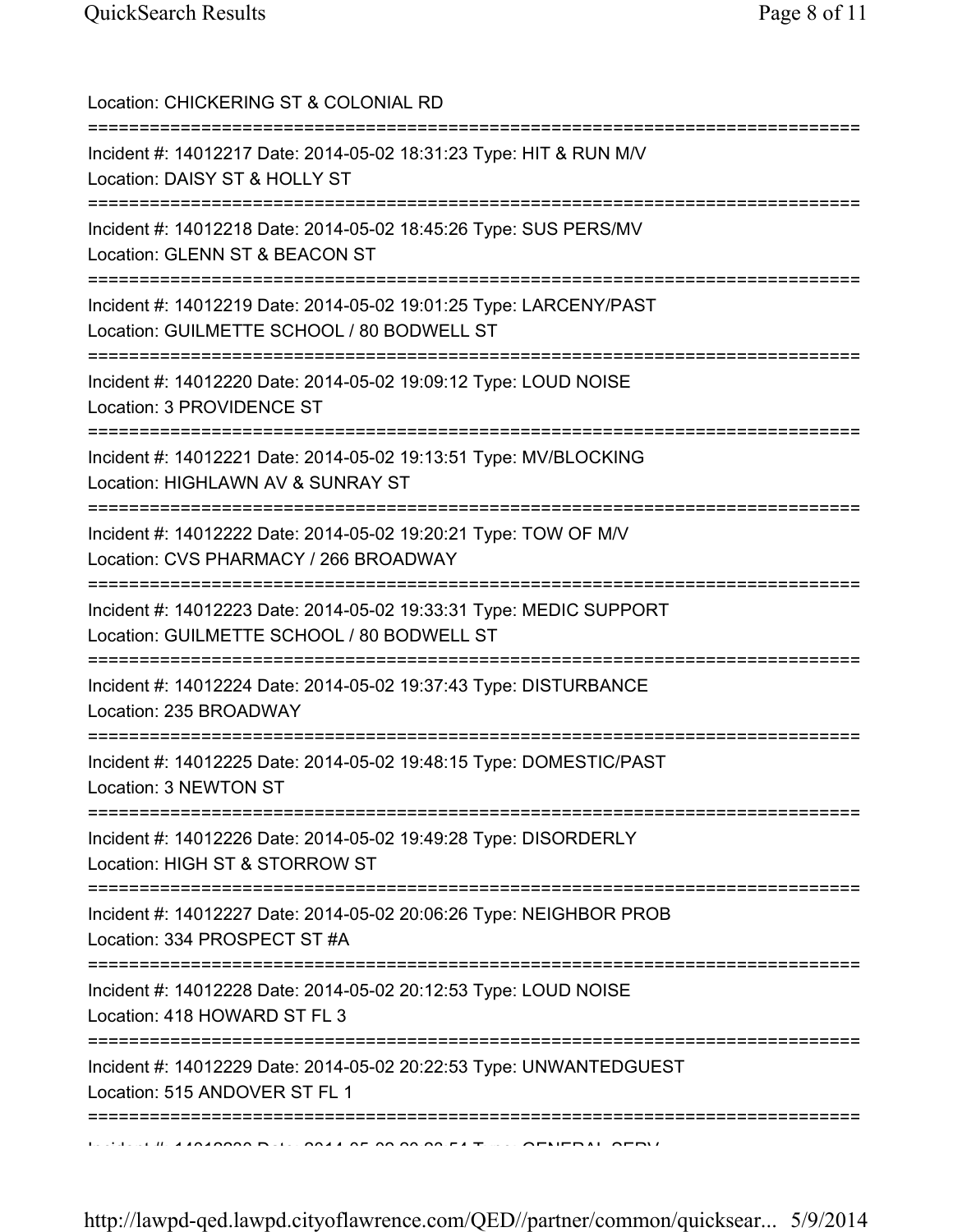| Location: CHICKERING ST & COLONIAL RD<br>=====================================                                                                              |
|-------------------------------------------------------------------------------------------------------------------------------------------------------------|
| Incident #: 14012217 Date: 2014-05-02 18:31:23 Type: HIT & RUN M/V<br>Location: DAISY ST & HOLLY ST                                                         |
| Incident #: 14012218 Date: 2014-05-02 18:45:26 Type: SUS PERS/MV<br>Location: GLENN ST & BEACON ST                                                          |
| Incident #: 14012219 Date: 2014-05-02 19:01:25 Type: LARCENY/PAST<br>Location: GUILMETTE SCHOOL / 80 BODWELL ST                                             |
| Incident #: 14012220 Date: 2014-05-02 19:09:12 Type: LOUD NOISE<br>Location: 3 PROVIDENCE ST                                                                |
| =================================<br>Incident #: 14012221 Date: 2014-05-02 19:13:51 Type: MV/BLOCKING<br>Location: HIGHLAWN AV & SUNRAY ST<br>:============ |
| Incident #: 14012222 Date: 2014-05-02 19:20:21 Type: TOW OF M/V<br>Location: CVS PHARMACY / 266 BROADWAY                                                    |
| Incident #: 14012223 Date: 2014-05-02 19:33:31 Type: MEDIC SUPPORT<br>Location: GUILMETTE SCHOOL / 80 BODWELL ST                                            |
| Incident #: 14012224 Date: 2014-05-02 19:37:43 Type: DISTURBANCE<br>Location: 235 BROADWAY                                                                  |
| Incident #: 14012225 Date: 2014-05-02 19:48:15 Type: DOMESTIC/PAST<br>Location: 3 NEWTON ST                                                                 |
| ======================================<br>Incident #: 14012226 Date: 2014-05-02 19:49:28 Type: DISORDERLY<br>Location: HIGH ST & STORROW ST                 |
| Incident #: 14012227 Date: 2014-05-02 20:06:26 Type: NEIGHBOR PROB<br>Location: 334 PROSPECT ST #A                                                          |
| :============<br>Incident #: 14012228 Date: 2014-05-02 20:12:53 Type: LOUD NOISE<br>Location: 418 HOWARD ST FL 3                                            |
| Incident #: 14012229 Date: 2014-05-02 20:22:53 Type: UNWANTEDGUEST<br>Location: 515 ANDOVER ST FL 1                                                         |
| =================================                                                                                                                           |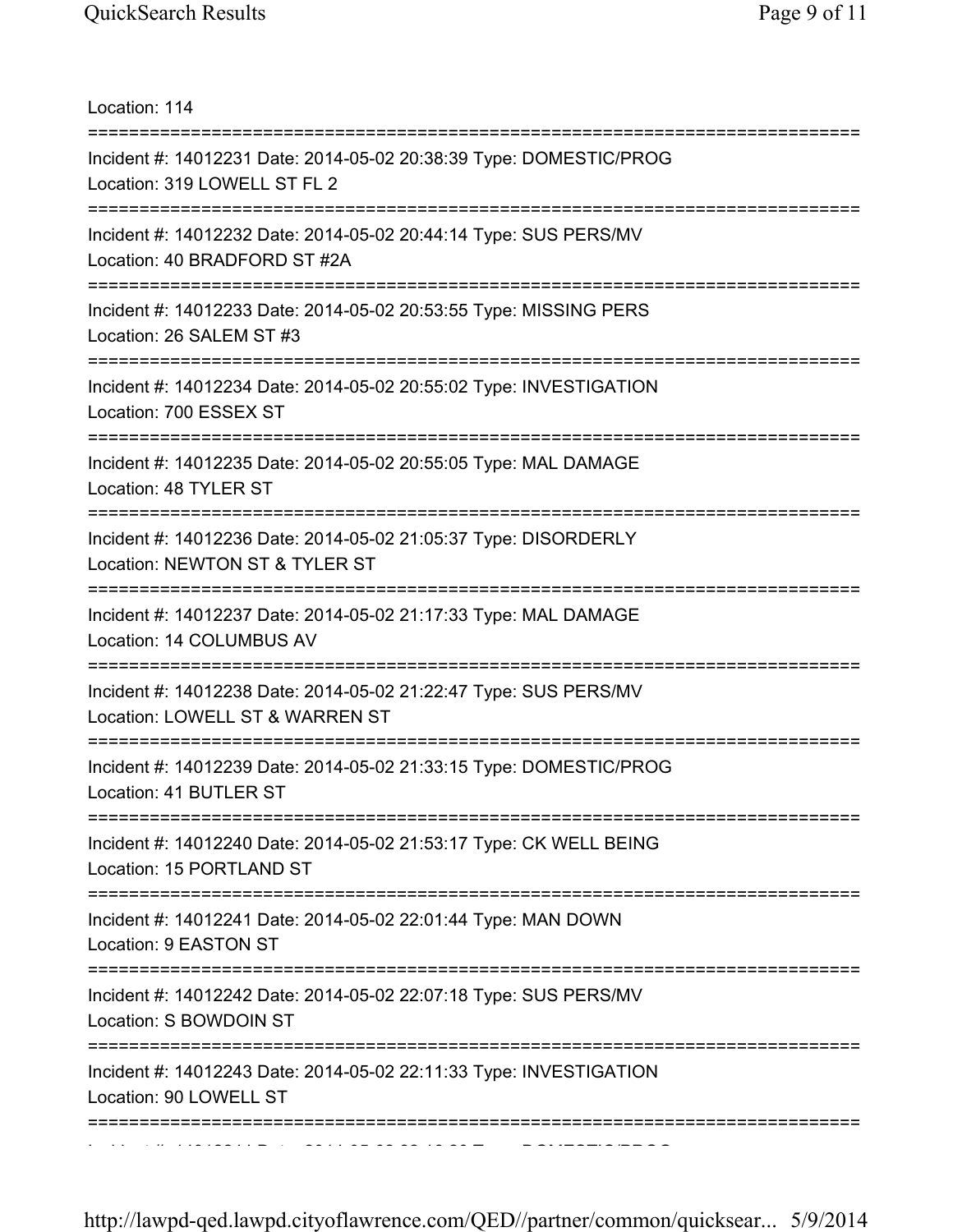| Location: 114                                                                                                                      |
|------------------------------------------------------------------------------------------------------------------------------------|
| Incident #: 14012231 Date: 2014-05-02 20:38:39 Type: DOMESTIC/PROG<br>Location: 319 LOWELL ST FL 2<br>============================ |
| Incident #: 14012232 Date: 2014-05-02 20:44:14 Type: SUS PERS/MV<br>Location: 40 BRADFORD ST #2A                                   |
| Incident #: 14012233 Date: 2014-05-02 20:53:55 Type: MISSING PERS<br>Location: 26 SALEM ST #3<br>;===========================      |
| Incident #: 14012234 Date: 2014-05-02 20:55:02 Type: INVESTIGATION<br>Location: 700 ESSEX ST                                       |
| Incident #: 14012235 Date: 2014-05-02 20:55:05 Type: MAL DAMAGE<br>Location: 48 TYLER ST                                           |
| Incident #: 14012236 Date: 2014-05-02 21:05:37 Type: DISORDERLY<br>Location: NEWTON ST & TYLER ST                                  |
| Incident #: 14012237 Date: 2014-05-02 21:17:33 Type: MAL DAMAGE<br>Location: 14 COLUMBUS AV                                        |
| Incident #: 14012238 Date: 2014-05-02 21:22:47 Type: SUS PERS/MV<br>Location: LOWELL ST & WARREN ST                                |
| Incident #: 14012239 Date: 2014-05-02 21:33:15 Type: DOMESTIC/PROG<br>Location: 41 BUTLER ST                                       |
| ==========================<br>Incident #: 14012240 Date: 2014-05-02 21:53:17 Type: CK WELL BEING<br>Location: 15 PORTLAND ST       |
| Incident #: 14012241 Date: 2014-05-02 22:01:44 Type: MAN DOWN<br>Location: 9 EASTON ST                                             |
| Incident #: 14012242 Date: 2014-05-02 22:07:18 Type: SUS PERS/MV<br>Location: S BOWDOIN ST                                         |
| Incident #: 14012243 Date: 2014-05-02 22:11:33 Type: INVESTIGATION<br>Location: 90 LOWELL ST                                       |
|                                                                                                                                    |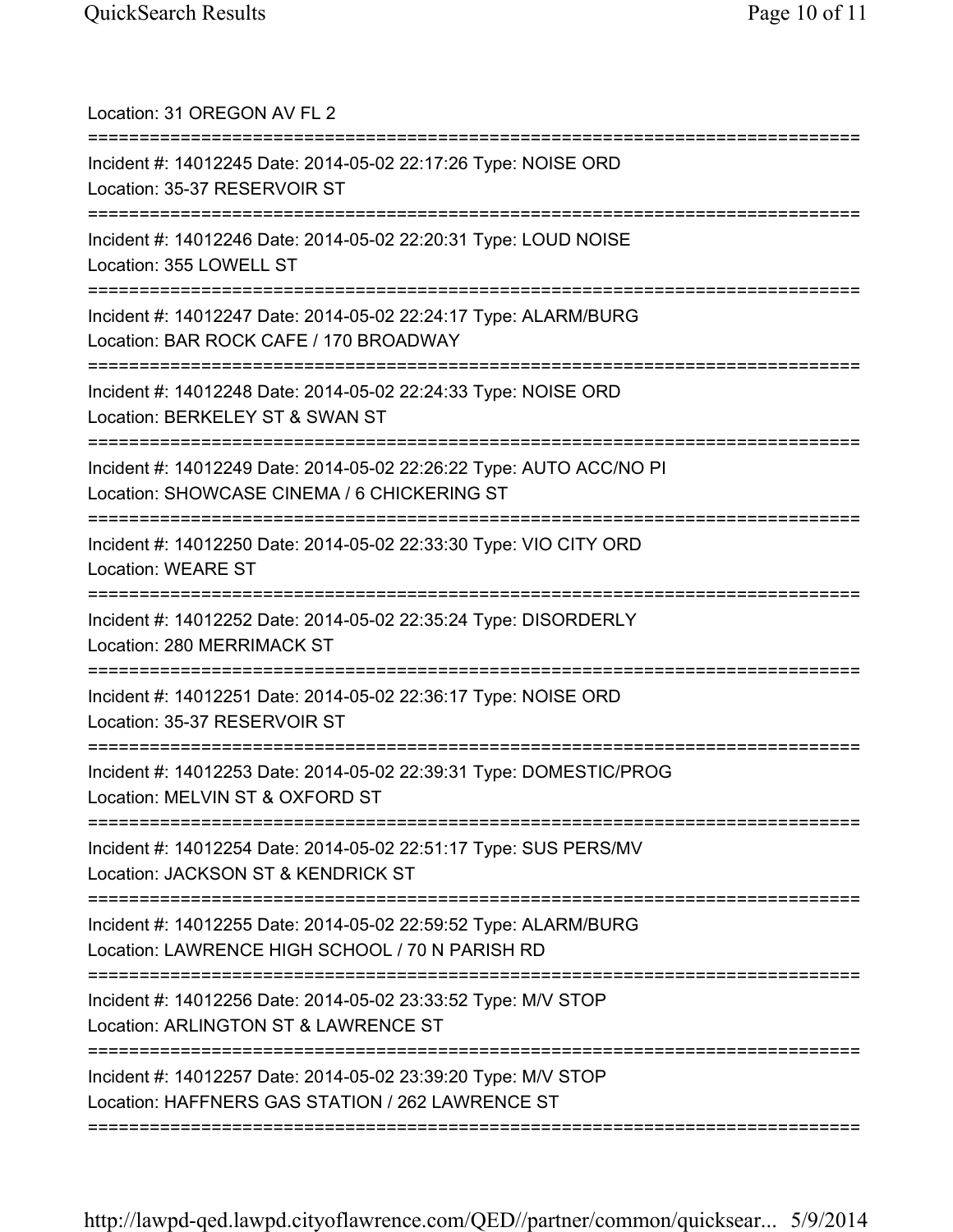| Location: 31 OREGON AV FL 2<br>======================                                                                                        |
|----------------------------------------------------------------------------------------------------------------------------------------------|
| Incident #: 14012245 Date: 2014-05-02 22:17:26 Type: NOISE ORD<br>Location: 35-37 RESERVOIR ST                                               |
| Incident #: 14012246 Date: 2014-05-02 22:20:31 Type: LOUD NOISE<br>Location: 355 LOWELL ST                                                   |
| Incident #: 14012247 Date: 2014-05-02 22:24:17 Type: ALARM/BURG<br>Location: BAR ROCK CAFE / 170 BROADWAY                                    |
| Incident #: 14012248 Date: 2014-05-02 22:24:33 Type: NOISE ORD<br>Location: BERKELEY ST & SWAN ST                                            |
| Incident #: 14012249 Date: 2014-05-02 22:26:22 Type: AUTO ACC/NO PI<br>Location: SHOWCASE CINEMA / 6 CHICKERING ST<br>---------------------- |
| Incident #: 14012250 Date: 2014-05-02 22:33:30 Type: VIO CITY ORD<br><b>Location: WEARE ST</b>                                               |
| Incident #: 14012252 Date: 2014-05-02 22:35:24 Type: DISORDERLY<br>Location: 280 MERRIMACK ST                                                |
| Incident #: 14012251 Date: 2014-05-02 22:36:17 Type: NOISE ORD<br>Location: 35-37 RESERVOIR ST                                               |
| Incident #: 14012253 Date: 2014-05-02 22:39:31 Type: DOMESTIC/PROG<br>Location: MELVIN ST & OXFORD ST                                        |
| Incident #: 14012254 Date: 2014-05-02 22:51:17 Type: SUS PERS/MV<br>Location: JACKSON ST & KENDRICK ST                                       |
| Incident #: 14012255 Date: 2014-05-02 22:59:52 Type: ALARM/BURG<br>Location: LAWRENCE HIGH SCHOOL / 70 N PARISH RD                           |
| Incident #: 14012256 Date: 2014-05-02 23:33:52 Type: M/V STOP<br>Location: ARLINGTON ST & LAWRENCE ST                                        |
| Incident #: 14012257 Date: 2014-05-02 23:39:20 Type: M/V STOP<br>Location: HAFFNERS GAS STATION / 262 LAWRENCE ST                            |
|                                                                                                                                              |